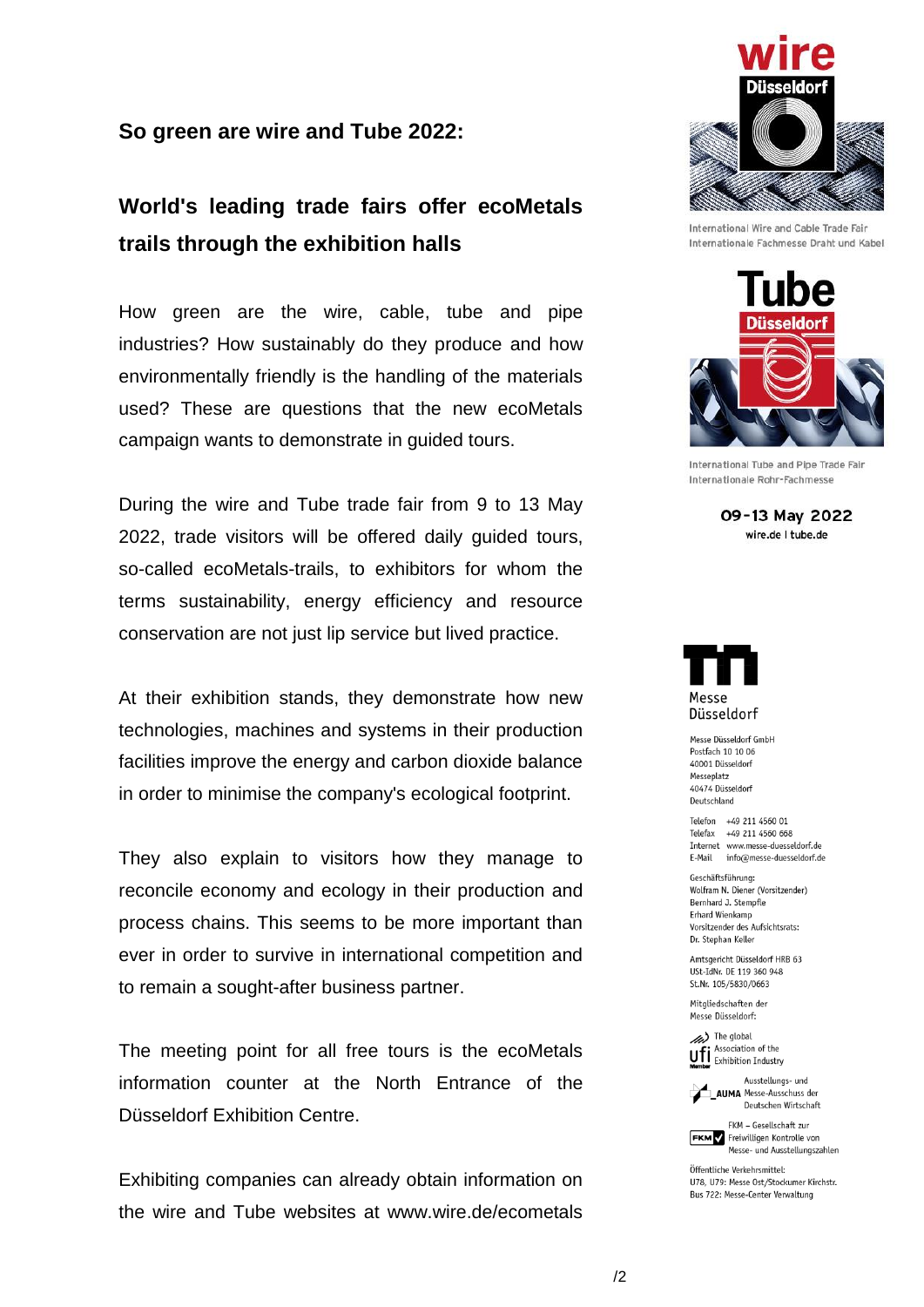## **So green are wire and Tube 2022:**

## **World's leading trade fairs offer ecoMetals trails through the exhibition halls**

How green are the wire, cable, tube and pipe industries? How sustainably do they produce and how environmentally friendly is the handling of the materials used? These are questions that the new ecoMetals campaign wants to demonstrate in guided tours.

During the wire and Tube trade fair from 9 to 13 May 2022, trade visitors will be offered daily guided tours, so-called ecoMetals-trails, to exhibitors for whom the terms sustainability, energy efficiency and resource conservation are not just lip service but lived practice.

At their exhibition stands, they demonstrate how new technologies, machines and systems in their production facilities improve the energy and carbon dioxide balance in order to minimise the company's ecological footprint.

They also explain to visitors how they manage to reconcile economy and ecology in their production and process chains. This seems to be more important than ever in order to survive in international competition and to remain a sought-after business partner.

The meeting point for all free tours is the ecoMetals information counter at the North Entrance of the Düsseldorf Exhibition Centre.

Exhibiting companies can already obtain information on the wire and Tube websites at www.wire.de/ecometals



International Wire and Cable Trade Fair Internationale Fachmesse Draht und Kabel



International Tube and Pipe Trade Fair Internationale Rohr-Fachmesse

09-13 May 2022 wire.de I tube.de



Messe Diisseldorf GmbH Postfach 10 10 06 40001 Düsseldorf Messeplatz 40474 Düsseldorf Deutschland

Telefon +49 211 4560 01 Telefax +49 211 4560 668 Internet www.messe-duesseldorf.de E-Mail info@messe-duesseldorf.de

Geschäftsführung: Wolfram N. Diener (Vorsitzender) Bernhard J. Stempfle Erhard Wienkamp Vorsitzender des Aufsichtsrats: Dr. Stephan Keller

Amtsgericht Düsseldorf HRB 63 USt-IdNr. DE 119 360 948 St.Nr. 105/5830/0663

Mitgliedschaften der Messe Diisseldorf:

he global Association of the **Ufi** Association of the<br>**Momber** Exhibition Industry



Deutschen Wirtschaft FKM - Gesellschaft zur

**FKM** Freiwilligen Kontrolle von Messe- und Ausstellungszahlen

Öffentliche Verkehrsmittel: U78, U79: Messe Ost/Stockumer Kirchstr. Bus 722: Messe-Center Verwaltung